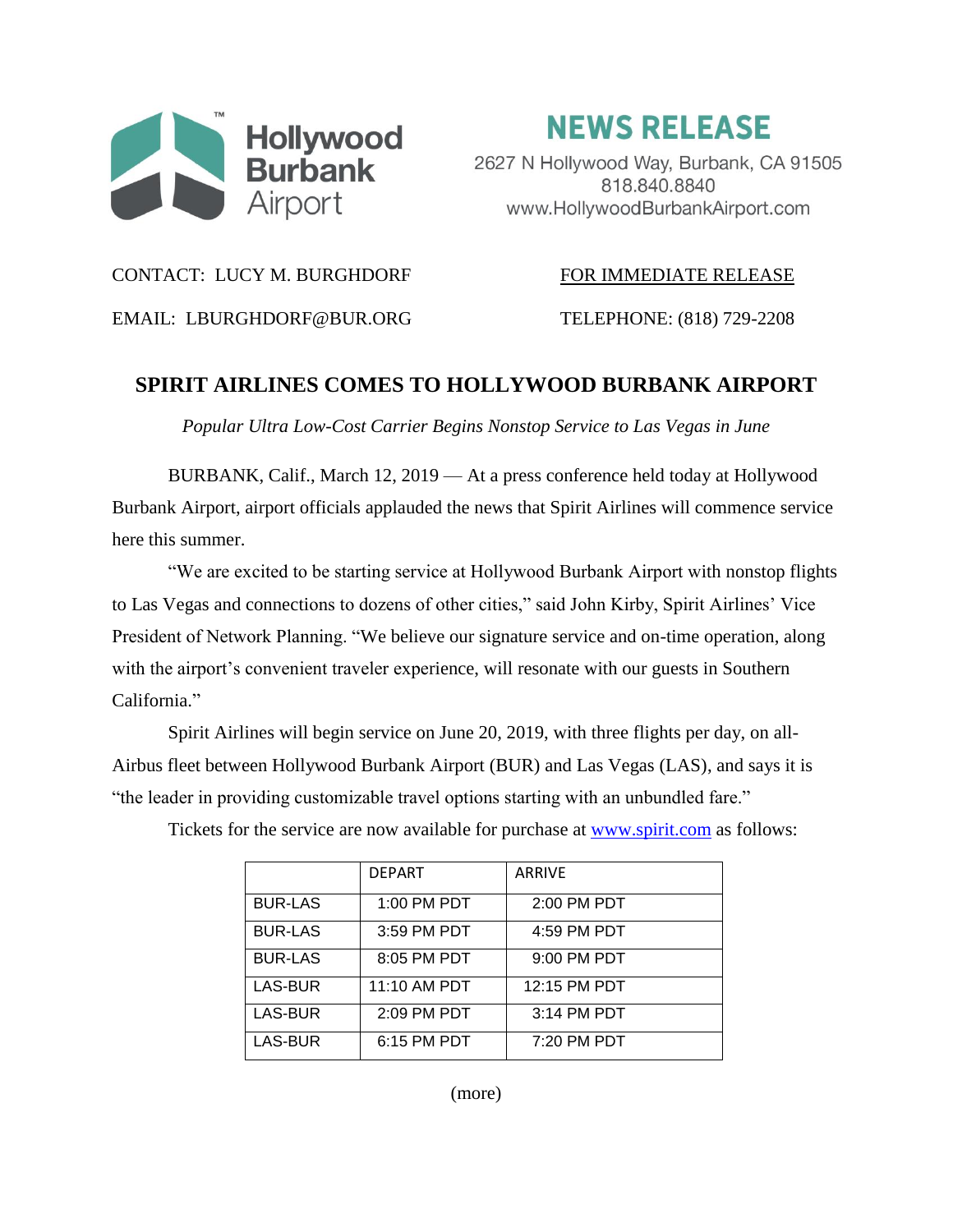

**NEWS RELEASE** 

2627 N Hollywood Way, Burbank, CA 91505 818.840.8840 www.HollywoodBurbankAirport.com

## CONTACT: LUCY M. BURGHDORF FOR IMMEDIATE RELEASE

EMAIL: LBURGHDORF@BUR.ORG TELEPHONE: (818) 729-2208

## **SPIRIT AIRLINES COMES TO HOLLYWOOD BURBANK AIRPORT**

*Popular Ultra Low-Cost Carrier Begins Nonstop Service to Las Vegas in June*

BURBANK, Calif., March 12, 2019 — At a press conference held today at Hollywood Burbank Airport, airport officials applauded the news that Spirit Airlines will commence service here this summer.

"We are excited to be starting service at Hollywood Burbank Airport with nonstop flights to Las Vegas and connections to dozens of other cities," said John Kirby, Spirit Airlines' Vice President of Network Planning. "We believe our signature service and on-time operation, along with the airport's convenient traveler experience, will resonate with our guests in Southern California."

Spirit Airlines will begin service on June 20, 2019, with three flights per day, on all-Airbus fleet between Hollywood Burbank Airport (BUR) and Las Vegas (LAS), and says it is "the leader in providing customizable travel options starting with an unbundled fare."

|                | <b>DFPART</b> | <b>ARRIVE</b> |
|----------------|---------------|---------------|
| <b>BUR-LAS</b> | 1:00 PM PDT   | 2:00 PM PDT   |
| <b>BUR-LAS</b> | 3:59 PM PDT   | 4:59 PM PDT   |
| <b>BUR-LAS</b> | 8:05 PM PDT   | $9:00$ PM PDT |
| LAS-BUR        | 11:10 AM PDT  | 12:15 PM PDT  |
| LAS-BUR        | 2:09 PM PDT   | 3:14 PM PDT   |
| LAS-BUR        | 6:15 PM PDT   | 7:20 PM PDT   |

Tickets for the service are now available for purchase at [www.spirit.com](http://www.spirit.com/) as follows:

(more)